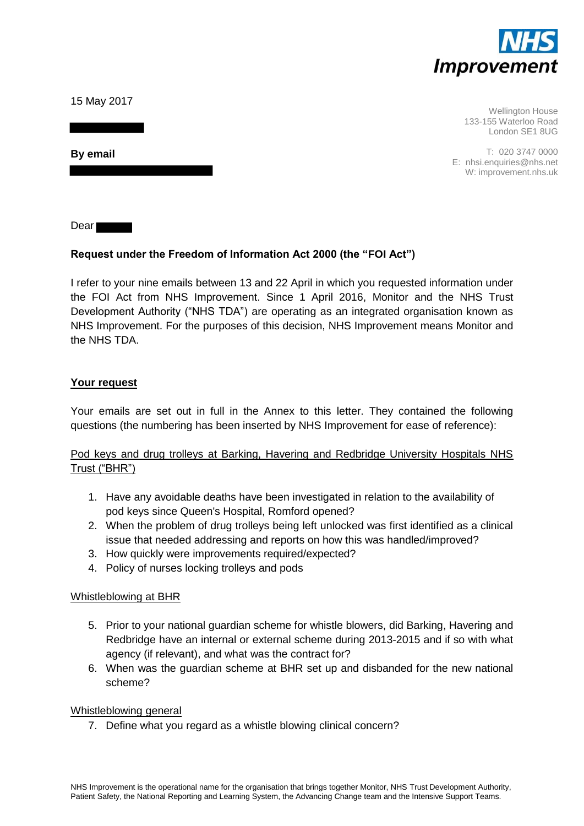

15 May 2017

**By email** 

Wellington House 133-155 Waterloo Road London SE1 8UG

T: 020 3747 0000 E: nhsi.enquiries@nhs.net W: improvement.nhs.uk

Dear

# **Request under the Freedom of Information Act 2000 (the "FOI Act")**

I refer to your nine emails between 13 and 22 April in which you requested information under the FOI Act from NHS Improvement. Since 1 April 2016, Monitor and the NHS Trust Development Authority ("NHS TDA") are operating as an integrated organisation known as NHS Improvement. For the purposes of this decision, NHS Improvement means Monitor and the NHS TDA.

## **Your request**

Your emails are set out in full in the Annex to this letter. They contained the following questions (the numbering has been inserted by NHS Improvement for ease of reference):

# Pod keys and drug trolleys at Barking, Havering and Redbridge University Hospitals NHS Trust ("BHR")

- 1. Have any avoidable deaths have been investigated in relation to the availability of pod keys since Queen's Hospital, Romford opened?
- 2. When the problem of drug trolleys being left unlocked was first identified as a clinical issue that needed addressing and reports on how this was handled/improved?
- 3. How quickly were improvements required/expected?
- 4. Policy of nurses locking trolleys and pods

## Whistleblowing at BHR

- 5. Prior to your national guardian scheme for whistle blowers, did Barking, Havering and Redbridge have an internal or external scheme during 2013-2015 and if so with what agency (if relevant), and what was the contract for?
- 6. When was the guardian scheme at BHR set up and disbanded for the new national scheme?

#### Whistleblowing general

7. Define what you regard as a whistle blowing clinical concern?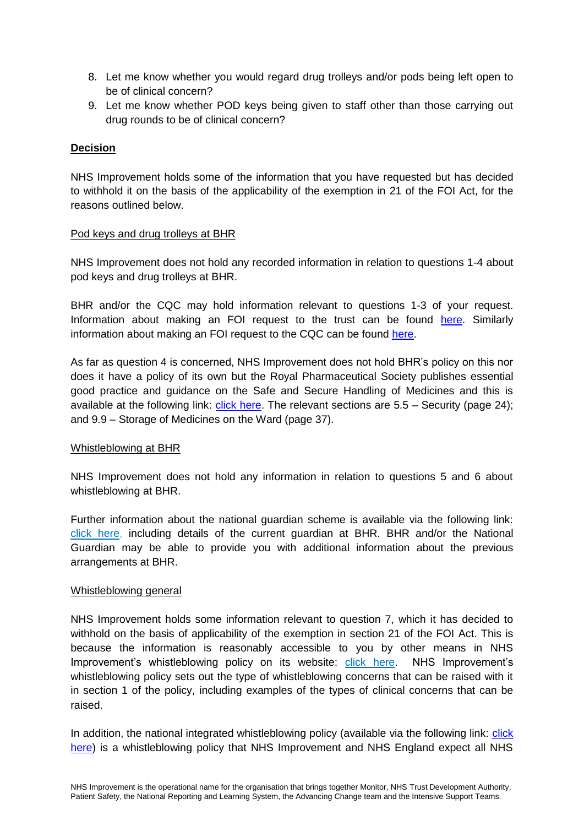- 8. Let me know whether you would regard drug trolleys and/or pods being left open to be of clinical concern?
- 9. Let me know whether POD keys being given to staff other than those carrying out drug rounds to be of clinical concern?

## **Decision**

NHS Improvement holds some of the information that you have requested but has decided to withhold it on the basis of the applicability of the exemption in 21 of the FOI Act, for the reasons outlined below.

#### Pod keys and drug trolleys at BHR

NHS Improvement does not hold any recorded information in relation to questions 1-4 about pod keys and drug trolleys at BHR.

BHR and/or the CQC may hold information relevant to questions 1-3 of your request. Information about making an FOI request to the trust can be found [here.](https://bhrhospitals.nhs.uk/foi) Similarly information about making an FOI request to the CQC can be found [here.](http://www.cqc.org.uk/content/freedom-information)

As far as question 4 is concerned, NHS Improvement does not hold BHR's policy on this nor does it have a policy of its own but the Royal Pharmaceutical Society publishes essential good practice and guidance on the Safe and Secure Handling of Medicines and this is available at the following link: [click here.](https://www.rpharms.com/making-a-difference/projects-and-campaigns/safe-and-secure-handling-of-medicines) The relevant sections are 5.5 – Security (page 24); and 9.9 – Storage of Medicines on the Ward (page 37).

## Whistleblowing at BHR

NHS Improvement does not hold any information in relation to questions 5 and 6 about whistleblowing at BHR.

Further information about the national guardian scheme is available via the following link: [click here,](http://www.nhsemployers.org/your-workforce/retain-and-improve/raising-concerns-at-work-and-whistleblowing/freedom-to-speak-up-guardian-hub/guardian-map) including details of the current guardian at BHR. BHR and/or the National Guardian may be able to provide you with additional information about the previous arrangements at BHR.

#### Whistleblowing general

NHS Improvement holds some information relevant to question 7, which it has decided to withhold on the basis of applicability of the exemption in section 21 of the FOI Act. This is because the information is reasonably accessible to you by other means in NHS Improvement's whistleblowing policy on its website: [click here.](https://improvement.nhs.uk/documents/756/External_whistleblowing_policy_for_NHSI.pdf) NHS Improvement's whistleblowing policy sets out the type of whistleblowing concerns that can be raised with it in section 1 of the policy, including examples of the types of clinical concerns that can be raised.

In addition, the national integrated whistleblowing policy (available via the following link: click [here\)](https://improvement.nhs.uk/resources/freedom-to-speak-up-whistleblowing-policy-for-the-nhs/) is a whistleblowing policy that NHS Improvement and NHS England expect all NHS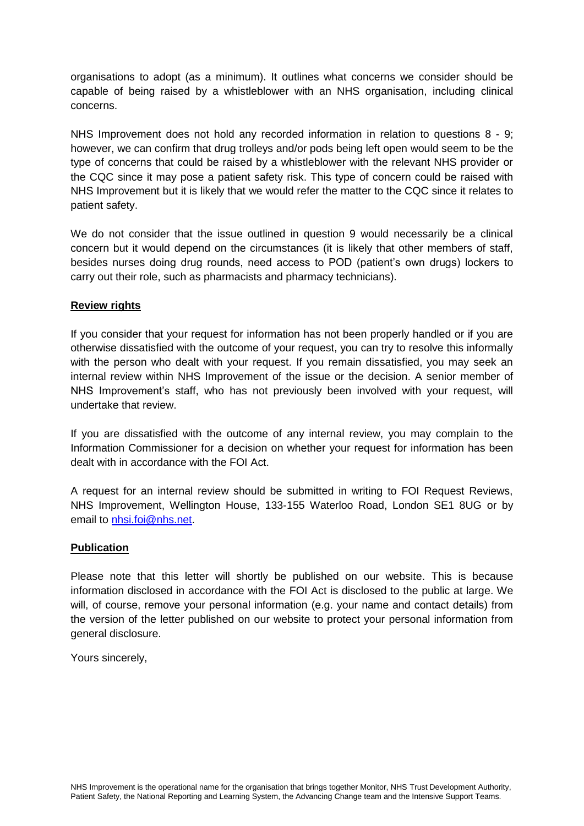organisations to adopt (as a minimum). It outlines what concerns we consider should be capable of being raised by a whistleblower with an NHS organisation, including clinical concerns.

NHS Improvement does not hold any recorded information in relation to questions 8 - 9; however, we can confirm that drug trolleys and/or pods being left open would seem to be the type of concerns that could be raised by a whistleblower with the relevant NHS provider or the CQC since it may pose a patient safety risk. This type of concern could be raised with NHS Improvement but it is likely that we would refer the matter to the CQC since it relates to patient safety.

We do not consider that the issue outlined in question 9 would necessarily be a clinical concern but it would depend on the circumstances (it is likely that other members of staff, besides nurses doing drug rounds, need access to POD (patient's own drugs) lockers to carry out their role, such as pharmacists and pharmacy technicians).

## **Review rights**

If you consider that your request for information has not been properly handled or if you are otherwise dissatisfied with the outcome of your request, you can try to resolve this informally with the person who dealt with your request. If you remain dissatisfied, you may seek an internal review within NHS Improvement of the issue or the decision. A senior member of NHS Improvement's staff, who has not previously been involved with your request, will undertake that review.

If you are dissatisfied with the outcome of any internal review, you may complain to the Information Commissioner for a decision on whether your request for information has been dealt with in accordance with the FOI Act.

A request for an internal review should be submitted in writing to FOI Request Reviews, NHS Improvement, Wellington House, 133-155 Waterloo Road, London SE1 8UG or by email to [nhsi.foi@nhs.net.](mailto:nhsi.foi@nhs.net)

## **Publication**

Please note that this letter will shortly be published on our website. This is because information disclosed in accordance with the FOI Act is disclosed to the public at large. We will, of course, remove your personal information (e.g. your name and contact details) from the version of the letter published on our website to protect your personal information from general disclosure.

Yours sincerely,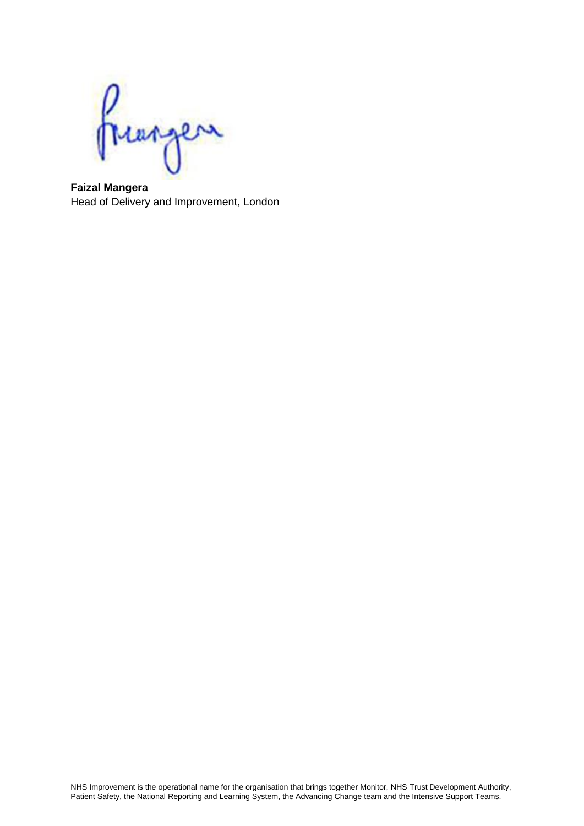Prangen

**Faizal Mangera** Head of Delivery and Improvement, London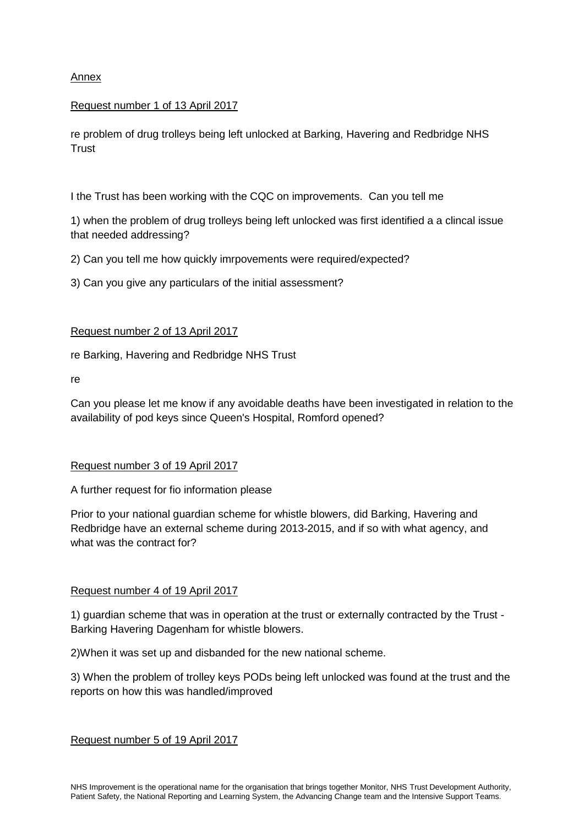Annex

# Request number 1 of 13 April 2017

re problem of drug trolleys being left unlocked at Barking, Havering and Redbridge NHS **Trust** 

I the Trust has been working with the CQC on improvements. Can you tell me

1) when the problem of drug trolleys being left unlocked was first identified a a clincal issue that needed addressing?

2) Can you tell me how quickly imrpovements were required/expected?

3) Can you give any particulars of the initial assessment?

# Request number 2 of 13 April 2017

re Barking, Havering and Redbridge NHS Trust

re

Can you please let me know if any avoidable deaths have been investigated in relation to the availability of pod keys since Queen's Hospital, Romford opened?

# Request number 3 of 19 April 2017

A further request for fio information please

Prior to your national guardian scheme for whistle blowers, did Barking, Havering and Redbridge have an external scheme during 2013-2015, and if so with what agency, and what was the contract for?

## Request number 4 of 19 April 2017

1) guardian scheme that was in operation at the trust or externally contracted by the Trust - Barking Havering Dagenham for whistle blowers.

2)When it was set up and disbanded for the new national scheme.

3) When the problem of trolley keys PODs being left unlocked was found at the trust and the reports on how this was handled/improved

Request number 5 of 19 April 2017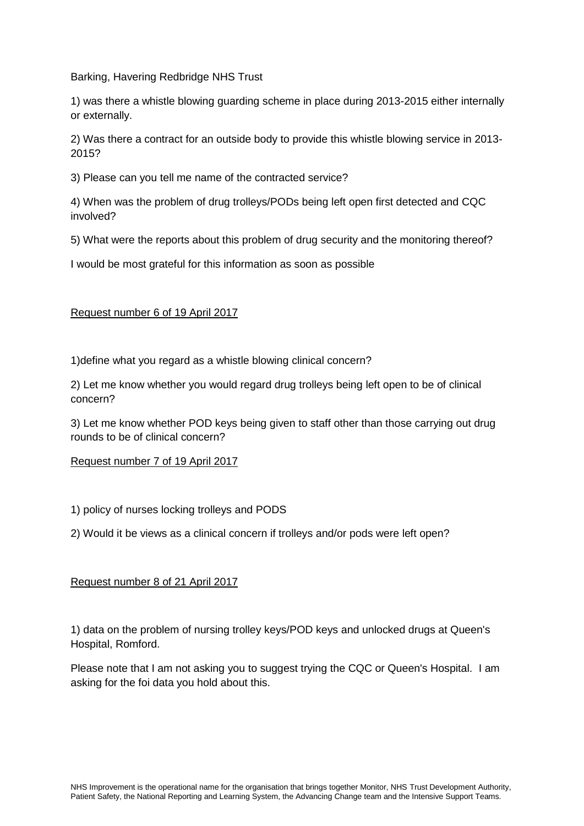Barking, Havering Redbridge NHS Trust

1) was there a whistle blowing guarding scheme in place during 2013-2015 either internally or externally.

2) Was there a contract for an outside body to provide this whistle blowing service in 2013- 2015?

3) Please can you tell me name of the contracted service?

4) When was the problem of drug trolleys/PODs being left open first detected and CQC involved?

5) What were the reports about this problem of drug security and the monitoring thereof?

I would be most grateful for this information as soon as possible

## Request number 6 of 19 April 2017

1)define what you regard as a whistle blowing clinical concern?

2) Let me know whether you would regard drug trolleys being left open to be of clinical concern?

3) Let me know whether POD keys being given to staff other than those carrying out drug rounds to be of clinical concern?

## Request number 7 of 19 April 2017

1) policy of nurses locking trolleys and PODS

2) Would it be views as a clinical concern if trolleys and/or pods were left open?

## Request number 8 of 21 April 2017

1) data on the problem of nursing trolley keys/POD keys and unlocked drugs at Queen's Hospital, Romford.

Please note that I am not asking you to suggest trying the CQC or Queen's Hospital. I am asking for the foi data you hold about this.